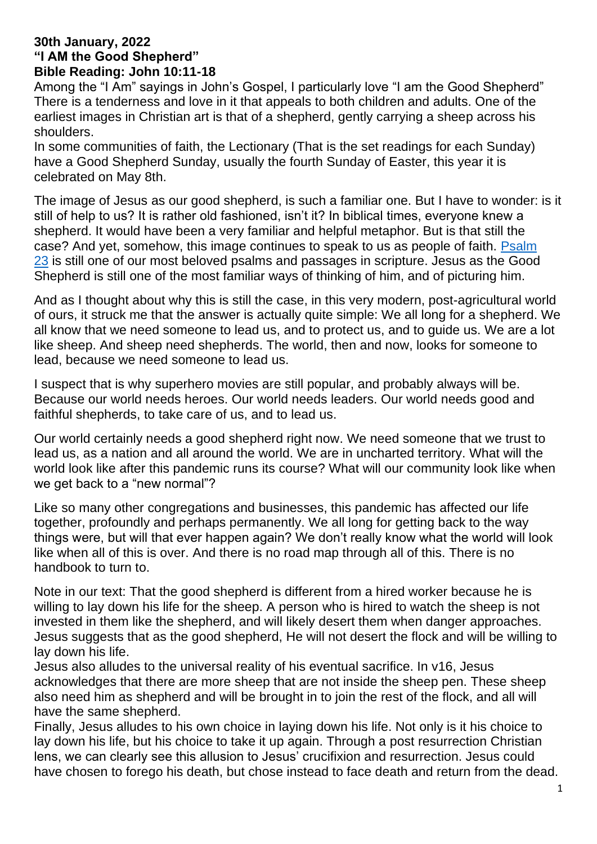#### **30th January, 2022 "I AM the Good Shepherd" Bible Reading: John 10:11-18**

Among the "I Am" sayings in John's Gospel, I particularly love "I am the Good Shepherd" There is a tenderness and love in it that appeals to both children and adults. One of the earliest images in Christian art is that of a shepherd, gently carrying a sheep across his shoulders.

In some communities of faith, the Lectionary (That is the set readings for each Sunday) have a Good Shepherd Sunday, usually the fourth Sunday of Easter, this year it is celebrated on May 8th.

The image of Jesus as our good shepherd, is such a familiar one. But I have to wonder: is it still of help to us? It is rather old fashioned, isn't it? In biblical times, everyone knew a shepherd. It would have been a very familiar and helpful metaphor. But is that still the case? And yet, somehow, this image continues to speak to us as people of faith. [Psalm](https://www.biblegateway.com/passage/?search=Psalm+23&version=NRSV)  [23](https://www.biblegateway.com/passage/?search=Psalm+23&version=NRSV) is still one of our most beloved psalms and passages in scripture. Jesus as the Good Shepherd is still one of the most familiar ways of thinking of him, and of picturing him.

And as I thought about why this is still the case, in this very modern, post-agricultural world of ours, it struck me that the answer is actually quite simple: We all long for a shepherd. We all know that we need someone to lead us, and to protect us, and to guide us. We are a lot like sheep. And sheep need shepherds. The world, then and now, looks for someone to lead, because we need someone to lead us.

I suspect that is why superhero movies are still popular, and probably always will be. Because our world needs heroes. Our world needs leaders. Our world needs good and faithful shepherds, to take care of us, and to lead us.

Our world certainly needs a good shepherd right now. We need someone that we trust to lead us, as a nation and all around the world. We are in uncharted territory. What will the world look like after this pandemic runs its course? What will our community look like when we get back to a "new normal"?

Like so many other congregations and businesses, this pandemic has affected our life together, profoundly and perhaps permanently. We all long for getting back to the way things were, but will that ever happen again? We don't really know what the world will look like when all of this is over. And there is no road map through all of this. There is no handbook to turn to.

Note in our text: That the good shepherd is different from a hired worker because he is willing to lay down his life for the sheep. A person who is hired to watch the sheep is not invested in them like the shepherd, and will likely desert them when danger approaches. Jesus suggests that as the good shepherd, He will not desert the flock and will be willing to lay down his life.

Jesus also alludes to the universal reality of his eventual sacrifice. In v16, Jesus acknowledges that there are more sheep that are not inside the sheep pen. These sheep also need him as shepherd and will be brought in to join the rest of the flock, and all will have the same shepherd.

Finally, Jesus alludes to his own choice in laying down his life. Not only is it his choice to lay down his life, but his choice to take it up again. Through a post resurrection Christian lens, we can clearly see this allusion to Jesus' crucifixion and resurrection. Jesus could have chosen to forego his death, but chose instead to face death and return from the dead.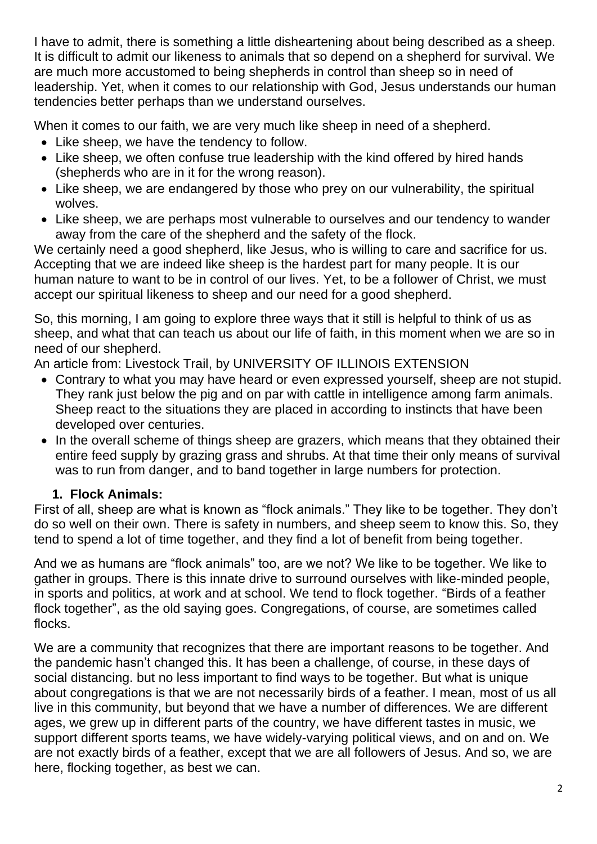I have to admit, there is something a little disheartening about being described as a sheep. It is difficult to admit our likeness to animals that so depend on a shepherd for survival. We are much more accustomed to being shepherds in control than sheep so in need of leadership. Yet, when it comes to our relationship with God, Jesus understands our human tendencies better perhaps than we understand ourselves.

When it comes to our faith, we are very much like sheep in need of a shepherd.

- Like sheep, we have the tendency to follow.
- Like sheep, we often confuse true leadership with the kind offered by hired hands (shepherds who are in it for the wrong reason).
- Like sheep, we are endangered by those who prey on our vulnerability, the spiritual wolves.
- Like sheep, we are perhaps most vulnerable to ourselves and our tendency to wander away from the care of the shepherd and the safety of the flock.

We certainly need a good shepherd, like Jesus, who is willing to care and sacrifice for us. Accepting that we are indeed like sheep is the hardest part for many people. It is our human nature to want to be in control of our lives. Yet, to be a follower of Christ, we must accept our spiritual likeness to sheep and our need for a good shepherd.

So, this morning, I am going to explore three ways that it still is helpful to think of us as sheep, and what that can teach us about our life of faith, in this moment when we are so in need of our shepherd.

An article from: L[ivestock Trail,](http://livestocktrail.illinois.edu/) by [UNIVERSITY OF ILLINOIS EXTENSION](http://web.extension.illinois.edu/)

- Contrary to what you may have heard or even expressed yourself, sheep are not stupid. They rank just below the pig and on par with cattle in intelligence among farm animals. Sheep react to the situations they are placed in according to instincts that have been developed over centuries.
- In the overall scheme of things sheep are grazers, which means that they obtained their entire feed supply by grazing grass and shrubs. At that time their only means of survival was to run from danger, and to band together in large numbers for protection.

### **1. Flock Animals:**

First of all, sheep are what is known as "flock animals." They like to be together. They don't do so well on their own. There is safety in numbers, and sheep seem to know this. So, they tend to spend a lot of time together, and they find a lot of benefit from being together.

And we as humans are "flock animals" too, are we not? We like to be together. We like to gather in groups. There is this innate drive to surround ourselves with like-minded people, in sports and politics, at work and at school. We tend to flock together. "Birds of a feather flock together", as the old saying goes. Congregations, of course, are sometimes called flocks.

We are a community that recognizes that there are important reasons to be together. And the pandemic hasn't changed this. It has been a challenge, of course, in these days of social distancing. but no less important to find ways to be together. But what is unique about congregations is that we are not necessarily birds of a feather. I mean, most of us all live in this community, but beyond that we have a number of differences. We are different ages, we grew up in different parts of the country, we have different tastes in music, we support different sports teams, we have widely-varying political views, and on and on. We are not exactly birds of a feather, except that we are all followers of Jesus. And so, we are here, flocking together, as best we can.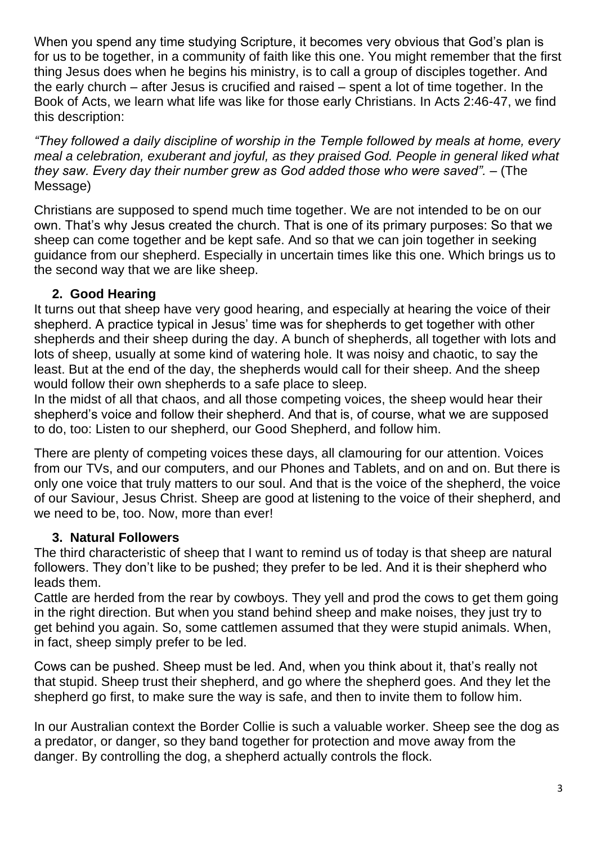When you spend any time studying Scripture, it becomes very obvious that God's plan is for us to be together, in a community of faith like this one. You might remember that the first thing Jesus does when he begins his ministry, is to call a group of disciples together. And the early church – after Jesus is crucified and raised – spent a lot of time together. In the Book of Acts, we learn what life was like for those early Christians. In [Acts 2:46-](https://www.biblegateway.com/passage/?search=Acts+2%3A46&version=NRSV)47, we find this description:

*"They followed a daily discipline of worship in the Temple followed by meals at home, every meal a celebration, exuberant and joyful, as they praised God. People in general liked what they saw. Every day their number grew as God added those who were saved".* – (The Message)

Christians are supposed to spend much time together. We are not intended to be on our own. That's why Jesus created the church. That is one of its primary purposes: So that we sheep can come together and be kept safe. And so that we can join together in seeking guidance from our shepherd. Especially in uncertain times like this one. Which brings us to the second way that we are like sheep.

## **2. Good Hearing**

It turns out that sheep have very good hearing, and especially at hearing the voice of their shepherd. A practice typical in Jesus' time was for shepherds to get together with other shepherds and their sheep during the day. A bunch of shepherds, all together with lots and lots of sheep, usually at some kind of watering hole. It was noisy and chaotic, to say the least. But at the end of the day, the shepherds would call for their sheep. And the sheep would follow their own shepherds to a safe place to sleep.

In the midst of all that chaos, and all those competing voices, the sheep would hear their shepherd's voice and follow their shepherd. And that is, of course, what we are supposed to do, too: Listen to our shepherd, our Good Shepherd, and follow him.

There are plenty of competing voices these days, all clamouring for our attention. Voices from our TVs, and our computers, and our Phones and Tablets, and on and on. But there is only one voice that truly matters to our soul. And that is the voice of the shepherd, the voice of our Saviour, Jesus Christ. Sheep are good at listening to the voice of their shepherd, and we need to be, too. Now, more than ever!

# **3. Natural Followers**

The third characteristic of sheep that I want to remind us of today is that sheep are natural followers. They don't like to be pushed; they prefer to be led. And it is their shepherd who leads them.

Cattle are herded from the rear by cowboys. They yell and prod the cows to get them going in the right direction. But when you stand behind sheep and make noises, they just try to get behind you again. So, some cattlemen assumed that they were stupid animals. When, in fact, sheep simply prefer to be led.

Cows can be pushed. Sheep must be led. And, when you think about it, that's really not that stupid. Sheep trust their shepherd, and go where the shepherd goes. And they let the shepherd go first, to make sure the way is safe, and then to invite them to follow him.

In our Australian context the Border Collie is such a valuable worker. Sheep see the dog as a predator, or danger, so they band together for protection and move away from the danger. By controlling the dog, a shepherd actually controls the flock.